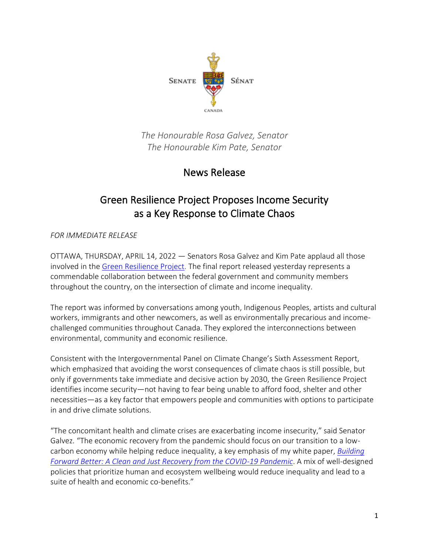

*The Honourable Rosa Galvez, Senator The Honourable Kim Pate, Senator*

## News Release

## Green Resilience Project Proposes Income Security as a Key Response to Climate Chaos

*FOR IMMEDIATE RELEASE*

OTTAWA, THURSDAY, APRIL 14, 2022 — Senators Rosa Galvez and Kim Pate applaud all those involved in the [Green Resilience Project.](https://greenresilience.ca/final-report/) The final report released yesterday represents a commendable collaboration between the federal government and community members throughout the country, on the intersection of climate and income inequality.

The report was informed by conversations among youth, Indigenous Peoples, artists and cultural workers, immigrants and other newcomers, as well as environmentally precarious and incomechallenged communities throughout Canada. They explored the interconnections between environmental, community and economic resilience.

Consistent with the Intergovernmental Panel on Climate Change's Sixth Assessment Report, which emphasized that avoiding the worst consequences of climate chaos is still possible, but only if governments take immediate and decisive action by 2030, the Green Resilience Project identifies income security—not having to fear being unable to afford food, shelter and other necessities—as a key factor that empowers people and communities with options to participate in and drive climate solutions.

"The concomitant health and climate crises are exacerbating income insecurity," said Senator Galvez. "The economic recovery from the pandemic should focus on our transition to a lowcarbon economy while helping reduce inequality, a key emphasis of my white paper, *[Building](https://rosagalvez.ca/en/initiatives/clean-and-just-recovery/)  [Forward Better: A Clean and Just Recovery from the COVID-19 Pandemic](https://rosagalvez.ca/en/initiatives/clean-and-just-recovery/)*. A mix of well-designed policies that prioritize human and ecosystem wellbeing would reduce inequality and lead to a suite of health and economic co-benefits."